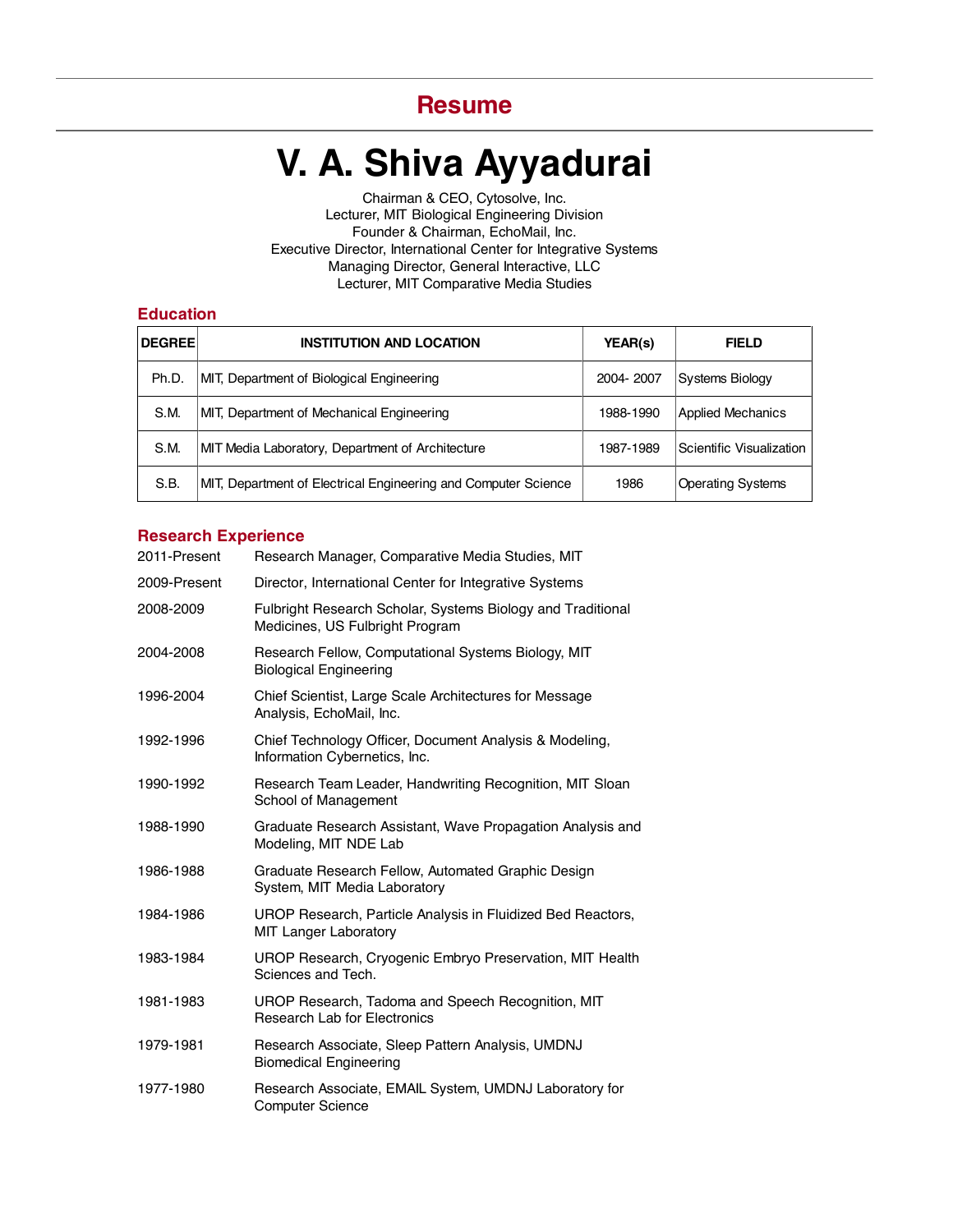# **Resume**

# **V. A. Shiva Ayyadurai**

Lecturer, MIT Biological Engineering Division Lecturer, MIT Comparative Media Studies Chairman & CEO, Cytosolve, Inc. Founder & Chairman, EchoMail, Inc. Executive Director, International Center for Integrative Systems Managing Director, General Interactive, LLC

## **Education**

| <b>DEGREE</b> | <b>INSTITUTION AND LOCATION</b>                                | <b>YEAR(s)</b> | <b>FIELD</b>             |
|---------------|----------------------------------------------------------------|----------------|--------------------------|
| Ph.D.         | MIT, Department of Biological Engineering                      | 2004-2007      | <b>Systems Biology</b>   |
| S.M.          | MIT, Department of Mechanical Engineering                      | 1988-1990      | <b>Applied Mechanics</b> |
| S.M.          | MIT Media Laboratory, Department of Architecture               | 1987-1989      | Scientific Visualization |
| S.B.          | MIT, Department of Electrical Engineering and Computer Science | 1986           | <b>Operating Systems</b> |

# **Research Experience**

| 2011-Present | Research Manager, Comparative Media Studies, MIT                                               |
|--------------|------------------------------------------------------------------------------------------------|
| 2009-Present | Director, International Center for Integrative Systems                                         |
| 2008-2009    | Fulbright Research Scholar, Systems Biology and Traditional<br>Medicines, US Fulbright Program |
| 2004-2008    | Research Fellow, Computational Systems Biology, MIT<br><b>Biological Engineering</b>           |
| 1996-2004    | Chief Scientist, Large Scale Architectures for Message<br>Analysis, EchoMail, Inc.             |
| 1992-1996    | Chief Technology Officer, Document Analysis & Modeling,<br>Information Cybernetics, Inc.       |
| 1990-1992    | Research Team Leader, Handwriting Recognition, MIT Sloan<br>School of Management               |
| 1988-1990    | Graduate Research Assistant, Wave Propagation Analysis and<br>Modeling, MIT NDE Lab            |
| 1986-1988    | Graduate Research Fellow, Automated Graphic Design<br>System, MIT Media Laboratory             |
| 1984-1986    | UROP Research, Particle Analysis in Fluidized Bed Reactors,<br>MIT Langer Laboratory           |
| 1983-1984    | UROP Research, Cryogenic Embryo Preservation, MIT Health<br>Sciences and Tech.                 |
| 1981-1983    | UROP Research, Tadoma and Speech Recognition, MIT<br><b>Research Lab for Electronics</b>       |
| 1979-1981    | Research Associate, Sleep Pattern Analysis, UMDNJ<br><b>Biomedical Engineering</b>             |
| 1977-1980    | Research Associate, EMAIL System, UMDNJ Laboratory for<br><b>Computer Science</b>              |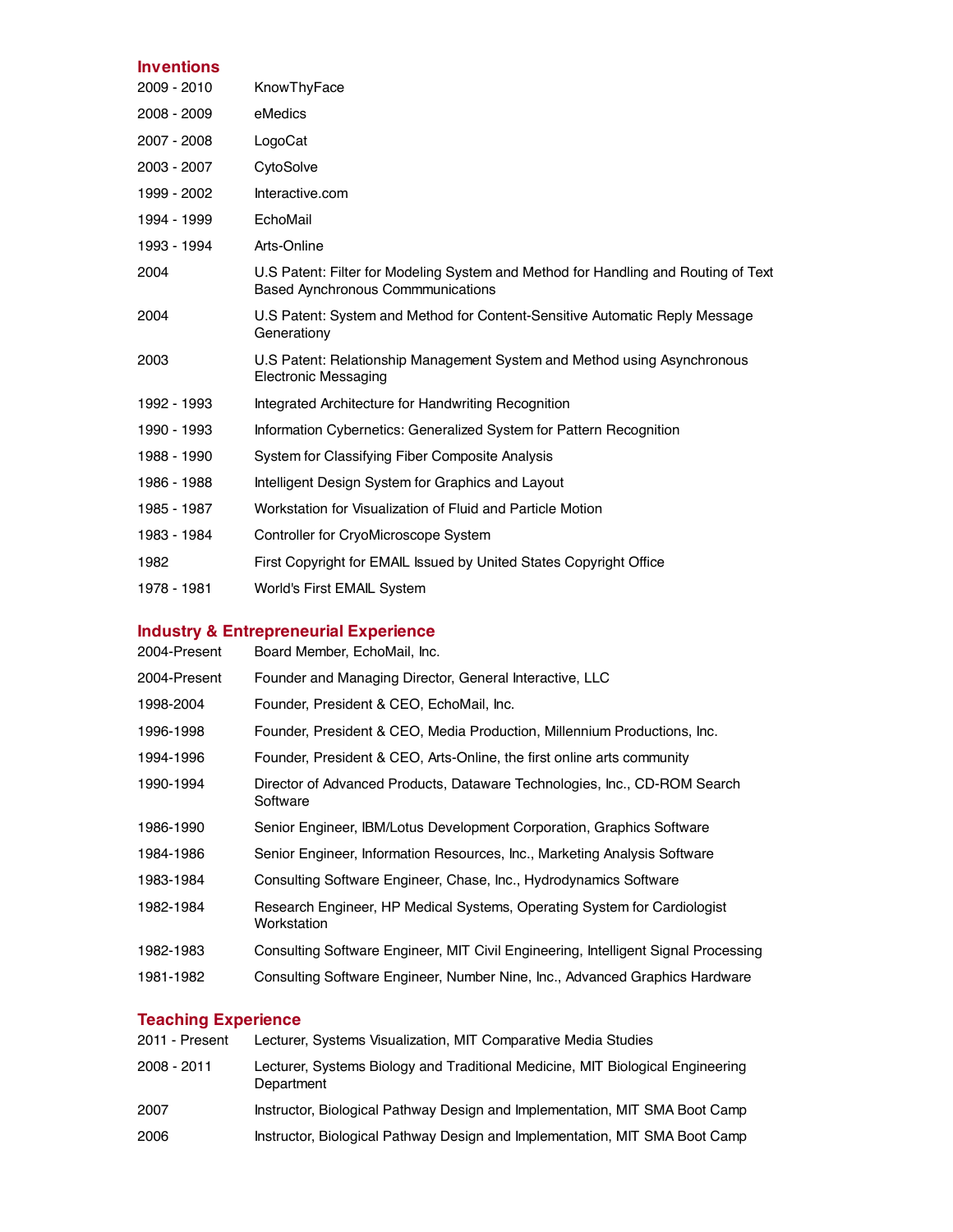# **Inventions**

| 2009 - 2010 | KnowThyFace                                                                                                                    |
|-------------|--------------------------------------------------------------------------------------------------------------------------------|
| 2008 - 2009 | eMedics                                                                                                                        |
| 2007 - 2008 | LogoCat                                                                                                                        |
| 2003 - 2007 | CytoSolve                                                                                                                      |
| 1999 - 2002 | Interactive.com                                                                                                                |
| 1994 - 1999 | EchoMail                                                                                                                       |
| 1993 - 1994 | Arts-Online                                                                                                                    |
| 2004        | U.S Patent: Filter for Modeling System and Method for Handling and Routing of Text<br><b>Based Aynchronous Commmunications</b> |
| 2004        | U.S Patent: System and Method for Content-Sensitive Automatic Reply Message<br>Generationy                                     |
| 2003        | U.S Patent: Relationship Management System and Method using Asynchronous<br><b>Electronic Messaging</b>                        |
| 1992 - 1993 | Integrated Architecture for Handwriting Recognition                                                                            |
| 1990 - 1993 | Information Cybernetics: Generalized System for Pattern Recognition                                                            |
| 1988 - 1990 | System for Classifying Fiber Composite Analysis                                                                                |
| 1986 - 1988 | Intelligent Design System for Graphics and Layout                                                                              |
| 1985 - 1987 | Workstation for Visualization of Fluid and Particle Motion                                                                     |
| 1983 - 1984 | Controller for CryoMicroscope System                                                                                           |
| 1982        | First Copyright for EMAIL Issued by United States Copyright Office                                                             |
| 1978 - 1981 | World's First EMAIL System                                                                                                     |

# **Industry & Entrepreneurial Experience**

| 2004-Present | Board Member, EchoMail, Inc.                                                            |
|--------------|-----------------------------------------------------------------------------------------|
| 2004-Present | Founder and Managing Director, General Interactive, LLC                                 |
| 1998-2004    | Founder, President & CEO, EchoMail, Inc.                                                |
| 1996-1998    | Founder, President & CEO, Media Production, Millennium Productions, Inc.                |
| 1994-1996    | Founder, President & CEO, Arts-Online, the first online arts community                  |
| 1990-1994    | Director of Advanced Products, Dataware Technologies, Inc., CD-ROM Search<br>Software   |
| 1986-1990    | Senior Engineer, IBM/Lotus Development Corporation, Graphics Software                   |
| 1984-1986    | Senior Engineer, Information Resources, Inc., Marketing Analysis Software               |
| 1983-1984    | Consulting Software Engineer, Chase, Inc., Hydrodynamics Software                       |
| 1982-1984    | Research Engineer, HP Medical Systems, Operating System for Cardiologist<br>Workstation |
| 1982-1983    | Consulting Software Engineer, MIT Civil Engineering, Intelligent Signal Processing      |
| 1981-1982    | Consulting Software Engineer, Number Nine, Inc., Advanced Graphics Hardware             |
|              |                                                                                         |

# **Teaching Experience**

| 2011 - Present | Lecturer, Systems Visualization, MIT Comparative Media Studies                               |
|----------------|----------------------------------------------------------------------------------------------|
| 2008 - 2011    | Lecturer, Systems Biology and Traditional Medicine, MIT Biological Engineering<br>Department |
| 2007           | Instructor, Biological Pathway Design and Implementation, MIT SMA Boot Camp                  |
| 2006           | Instructor, Biological Pathway Design and Implementation, MIT SMA Boot Camp                  |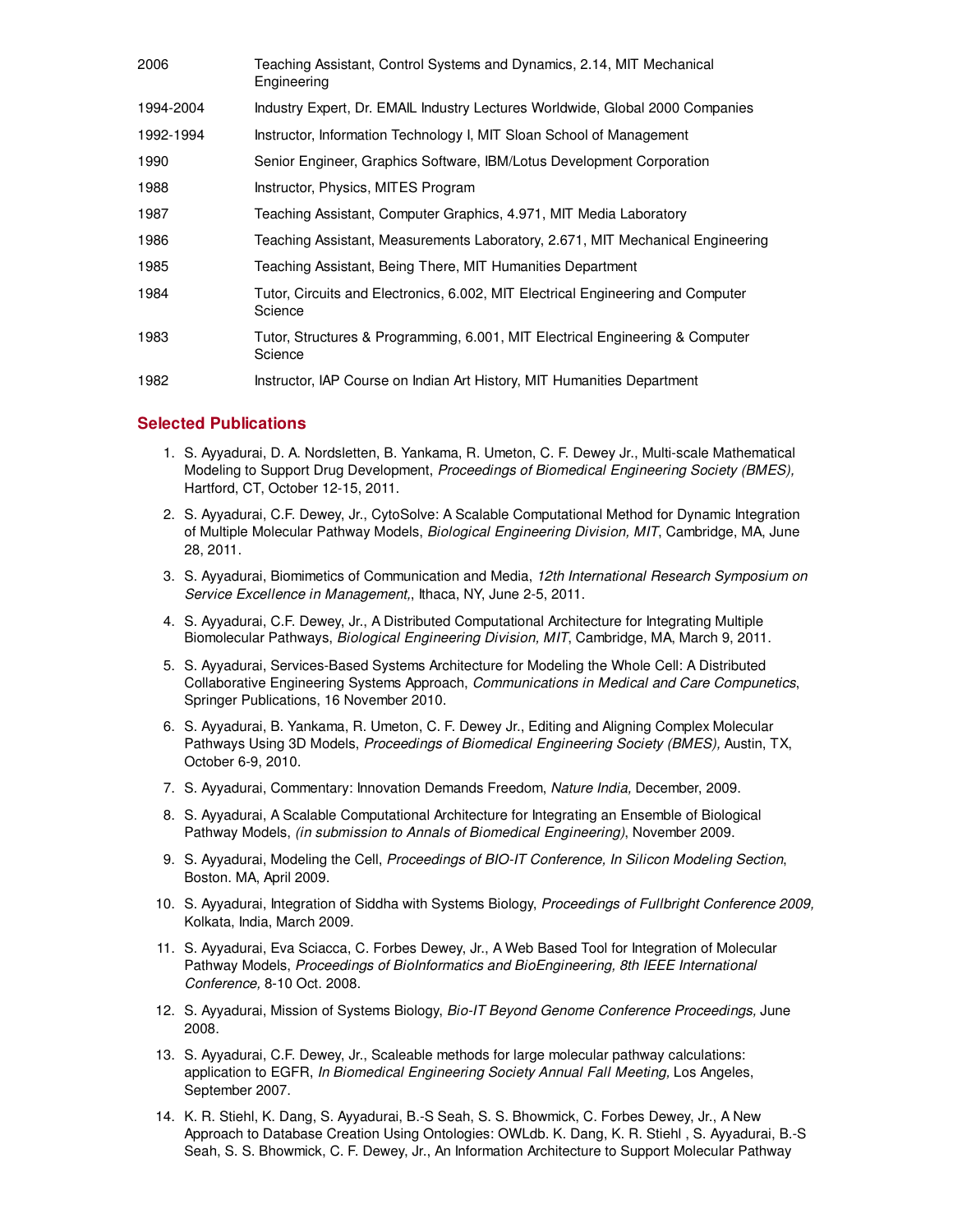| 2006      | Teaching Assistant, Control Systems and Dynamics, 2.14, MIT Mechanical<br>Engineering      |
|-----------|--------------------------------------------------------------------------------------------|
| 1994-2004 | Industry Expert, Dr. EMAIL Industry Lectures Worldwide, Global 2000 Companies              |
| 1992-1994 | Instructor, Information Technology I, MIT Sloan School of Management                       |
| 1990      | Senior Engineer, Graphics Software, IBM/Lotus Development Corporation                      |
| 1988      | Instructor, Physics, MITES Program                                                         |
| 1987      | Teaching Assistant, Computer Graphics, 4.971, MIT Media Laboratory                         |
| 1986      | Teaching Assistant, Measurements Laboratory, 2.671, MIT Mechanical Engineering             |
| 1985      | Teaching Assistant, Being There, MIT Humanities Department                                 |
| 1984      | Tutor, Circuits and Electronics, 6.002, MIT Electrical Engineering and Computer<br>Science |
| 1983      | Tutor, Structures & Programming, 6.001, MIT Electrical Engineering & Computer<br>Science   |
| 1982      | Instructor, IAP Course on Indian Art History, MIT Humanities Department                    |

# **Selected Publications**

- 1. S. Ayyadurai, D. A. Nordsletten, B. Yankama, R. Umeton, C. F. Dewey Jr., Multi-scale Mathematical Modeling to Support Drug Development, Proceedings of Biomedical Engineering Society (BMES), Hartford, CT, October 12-15, 2011.
- 2. S. Ayyadurai, C.F. Dewey, Jr., CytoSolve: A Scalable Computational Method for Dynamic Integration of Multiple Molecular Pathway Models, Biological Engineering Division, MIT, Cambridge, MA, June 28, 2011.
- 3. S. Ayyadurai, Biomimetics of Communication and Media, 12th International Research Symposium on Service Excellence in Management., Ithaca, NY, June 2-5, 2011.
- 4. S. Ayyadurai, C.F. Dewey, Jr., A Distributed Computational Architecture for Integrating Multiple Biomolecular Pathways, Biological Engineering Division, MIT, Cambridge, MA, March 9, 2011.
- S. Ayyadurai, Services-Based Systems Architecture for Modeling the Whole Cell: A Distributed 5. Collaborative Engineering Systems Approach, Communications in Medical and Care Compunetics, Springer Publications, 16 November 2010.
- 6. S. Ayyadurai, B. Yankama, R. Umeton, C. F. Dewey Jr., Editing and Aligning Complex Molecular Pathways Using 3D Models, Proceedings of Biomedical Engineering Society (BMES), Austin, TX, October 6-9, 2010.
- 7. S. Ayyadurai, Commentary: Innovation Demands Freedom, Nature India, December, 2009.
- S. Ayyadurai, A Scalable Computational Architecture for Integrating an Ensemble of Biological 8. Pathway Models, (in submission to Annals of Biomedical Engineering), November 2009.
- 9. S. Ayyadurai, Modeling the Cell, Proceedings of BIO-IT Conference, In Silicon Modeling Section, Boston. MA, April 2009.
- 10. S. Ayyadurai, Integration of Siddha with Systems Biology, Proceedings of Fullbright Conference 2009, Kolkata, India, March 2009.
- 11. S. Ayyadurai, Eva Sciacca, C. Forbes Dewey, Jr., A Web Based Tool for Integration of Molecular Pathway Models, Proceedings of BioInformatics and BioEngineering, 8th IEEE International Conference, 8-10 Oct. 2008.
- 12. S. Ayyadurai, Mission of Systems Biology, Bio-IT Beyond Genome Conference Proceedings, June 2008.
- 13. S. Ayyadurai, C.F. Dewey, Jr., Scaleable methods for large molecular pathway calculations: application to EGFR, In Biomedical Engineering Society Annual Fall Meeting, Los Angeles, September 2007.
- 14. K. R. Stiehl, K. Dang, S. Ayyadurai, B.-S Seah, S. S. Bhowmick, C. Forbes Dewey, Jr., A New Approach to Database Creation Using Ontologies: OWLdb. K. Dang, K. R. Stiehl , S. Ayyadurai, B.-S Seah, S. S. Bhowmick, C. F. Dewey, Jr., An Information Architecture to Support Molecular Pathway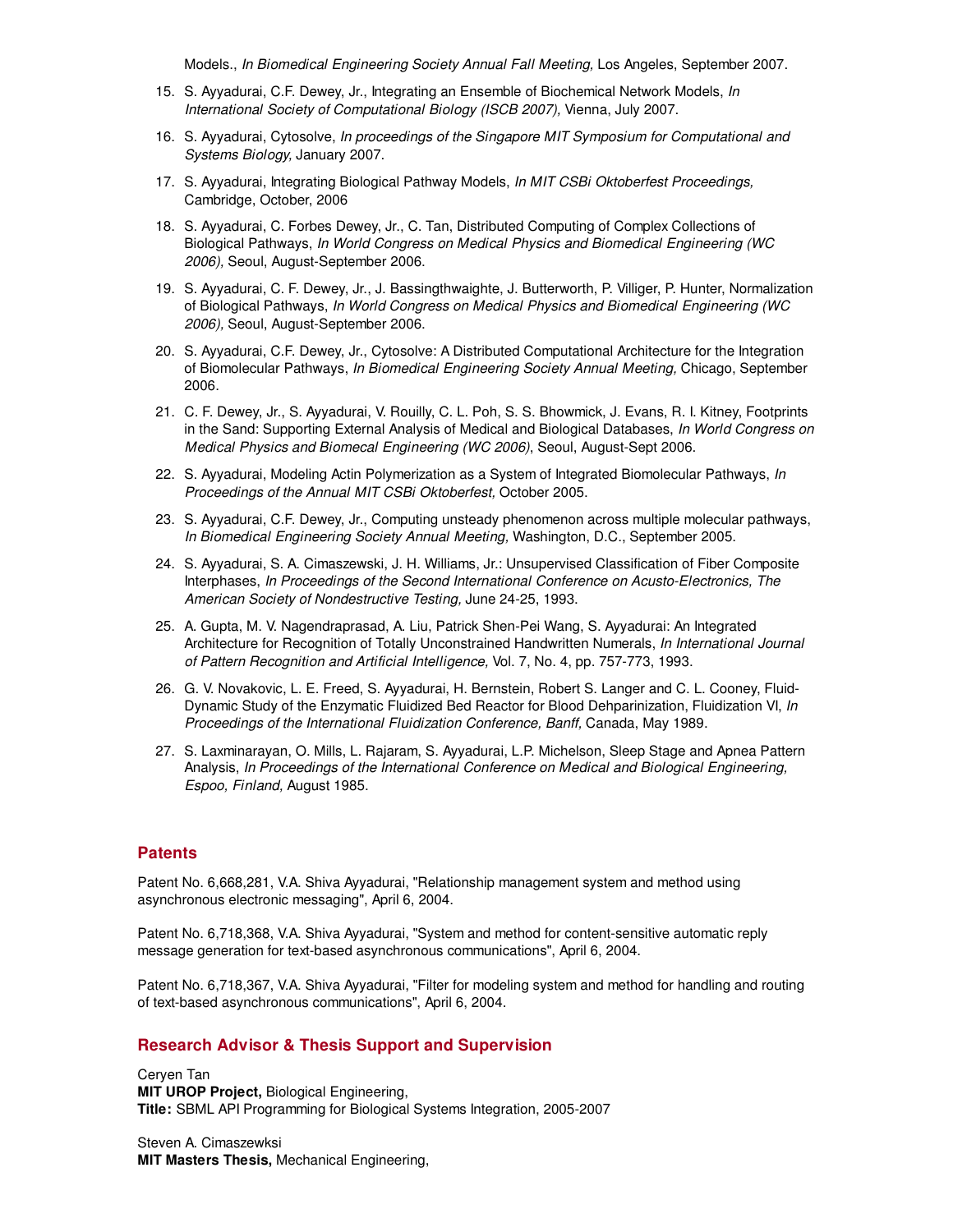Models., In Biomedical Engineering Society Annual Fall Meeting, Los Angeles, September 2007.

- 15. S. Ayyadurai, C.F. Dewey, Jr., Integrating an Ensemble of Biochemical Network Models, In International Society of Computational Biology (ISCB 2007), Vienna, July 2007.
- 16. S. Ayyadurai, Cytosolve, In proceedings of the Singapore MIT Symposium for Computational and Systems Biology, January 2007.
- 17. S. Ayyadurai, Integrating Biological Pathway Models, In MIT CSBi Oktoberfest Proceedings, Cambridge, October, 2006
- 18. S. Ayyadurai, C. Forbes Dewey, Jr., C. Tan, Distributed Computing of Complex Collections of Biological Pathways, In World Congress on Medical Physics and Biomedical Engineering (WC 2006), Seoul, August-September 2006.
- 19. S. Ayyadurai, C. F. Dewey, Jr., J. Bassingthwaighte, J. Butterworth, P. Villiger, P. Hunter, Normalization of Biological Pathways, In World Congress on Medical Physics and Biomedical Engineering (WC 2006), Seoul, August-September 2006.
- 20. S. Ayyadurai, C.F. Dewey, Jr., Cytosolve: A Distributed Computational Architecture for the Integration of Biomolecular Pathways, In Biomedical Engineering Society Annual Meeting, Chicago, September 2006.
- 21. C. F. Dewey, Jr., S. Ayyadurai, V. Rouilly, C. L. Poh, S. S. Bhowmick, J. Evans, R. I. Kitney, Footprints in the Sand: Supporting External Analysis of Medical and Biological Databases, In World Congress on Medical Physics and Biomecal Engineering (WC 2006), Seoul, August-Sept 2006.
- 22. S. Ayyadurai, Modeling Actin Polymerization as a System of Integrated Biomolecular Pathways, In Proceedings of the Annual MIT CSBi Oktoberfest, October 2005.
- 23. S. Ayyadurai, C.F. Dewey, Jr., Computing unsteady phenomenon across multiple molecular pathways, In Biomedical Engineering Society Annual Meeting, Washington, D.C., September 2005.
- 24. S. Ayyadurai, S. A. Cimaszewski, J. H. Williams, Jr.: Unsupervised Classification of Fiber Composite Interphases, In Proceedings of the Second International Conference on Acusto-Electronics, The American Society of Nondestructive Testing, June 24-25, 1993.
- 25. A. Gupta, M. V. Nagendraprasad, A. Liu, Patrick Shen-Pei Wang, S. Ayyadurai: An Integrated Architecture for Recognition of Totally Unconstrained Handwritten Numerals, In International Journal of Pattern Recognition and Artificial Intelligence, Vol. 7, No. 4, pp. 757-773, 1993.
- 26. G. V. Novakovic, L. E. Freed, S. Ayyadurai, H. Bernstein, Robert S. Langer and C. L. Cooney, Fluid-Dynamic Study of the Enzymatic Fluidized Bed Reactor for Blood Dehparinization, Fluidization VI, In Proceedings of the International Fluidization Conference, Banff, Canada, May 1989.
- 27. S. Laxminarayan, O. Mills, L. Rajaram, S. Ayyadurai, L.P. Michelson, Sleep Stage and Apnea Pattern Analysis, In Proceedings of the International Conference on Medical and Biological Engineering, Espoo, Finland, August 1985.

#### **Patents**

Patent No. 6,668,281, V.A. Shiva Ayyadurai, "Relationship management system and method using asynchronous electronic messaging", April 6, 2004.

Patent No. 6,718,368, V.A. Shiva Ayyadurai, "System and method for content-sensitive automatic reply message generation for text-based asynchronous communications", April 6, 2004.

Patent No. 6,718,367, V.A. Shiva Ayyadurai, "Filter for modeling system and method for handling and routing of text-based asynchronous communications", April 6, 2004.

#### **Research Advisor & Thesis Support and Supervision**

Ceryen Tan **MIT UROP Project,** Biological Engineering, **Title:** SBML API Programming for Biological Systems Integration, 2005-2007

Steven A. Cimaszewksi **MIT Masters Thesis,** Mechanical Engineering,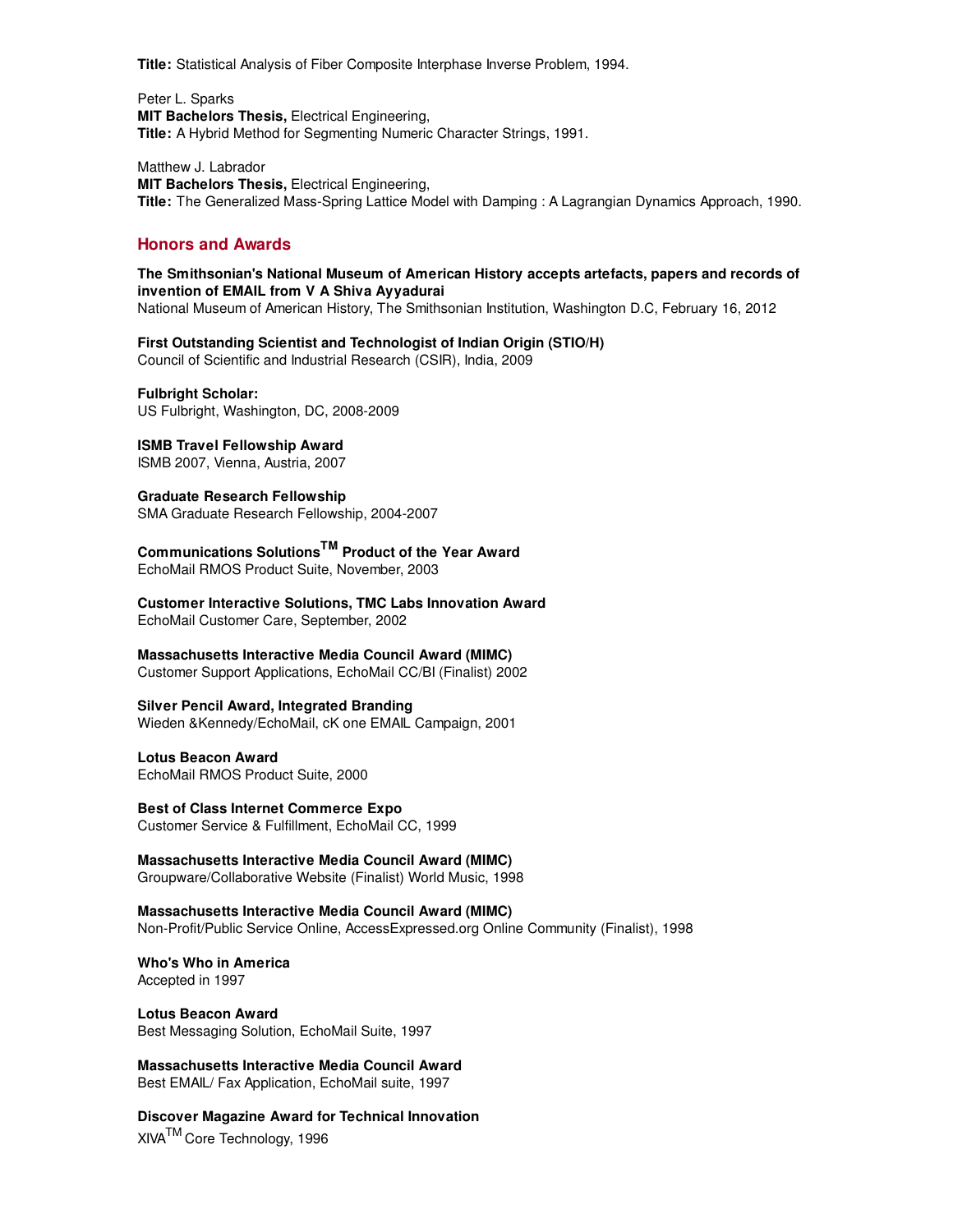**Title:** Statistical Analysis of Fiber Composite Interphase Inverse Problem, 1994.

Peter L. Sparks **MIT Bachelors Thesis,** Electrical Engineering, **Title:** A Hybrid Method for Segmenting Numeric Character Strings, 1991.

Matthew J. Labrador **MIT Bachelors Thesis,** Electrical Engineering, **Title:** The Generalized Mass-Spring Lattice Model with Damping : A Lagrangian Dynamics Approach, 1990.

# **Honors and Awards**

**The Smithsonian's National Museum of American History accepts artefacts, papers and records of invention of EMAIL from V A Shiva Ayyadurai** National Museum of American History, The Smithsonian Institution, Washington D.C, February 16, 2012

**First Outstanding Scientist and Technologist of Indian Origin (STIO/H)** Council of Scientific and Industrial Research (CSIR), India, 2009

**Fulbright Scholar:** US Fulbright, Washington, DC, 2008-2009

**ISMB Travel Fellowship Award** ISMB 2007, Vienna, Austria, 2007

**Graduate Research Fellowship** SMA Graduate Research Fellowship, 2004-2007

**Communications SolutionsTM Product of the Year Award** EchoMail RMOS Product Suite, November, 2003

**Customer Interactive Solutions, TMC Labs Innovation Award** EchoMail Customer Care, September, 2002

**Massachusetts Interactive Media Council Award (MIMC)**

Customer Support Applications, EchoMail CC/BI (Finalist) 2002

**Silver Pencil Award, Integrated Branding**

Wieden &Kennedy/EchoMail, cK one EMAIL Campaign, 2001

**Lotus Beacon Award**

EchoMail RMOS Product Suite, 2000

**Best of Class Internet Commerce Expo** Customer Service & Fulfillment, EchoMail CC, 1999

**Massachusetts Interactive Media Council Award (MIMC)**

Groupware/Collaborative Website (Finalist) World Music, 1998

**Massachusetts Interactive Media Council Award (MIMC)** Non-Profit/Public Service Online, AccessExpressed.org Online Community (Finalist), 1998

**Who's Who in America** Accepted in 1997

**Lotus Beacon Award** Best Messaging Solution, EchoMail Suite, 1997

**Massachusetts Interactive Media Council Award** Best EMAIL/ Fax Application, EchoMail suite, 1997

**Discover Magazine Award for Technical Innovation** XIVATM Core Technology, 1996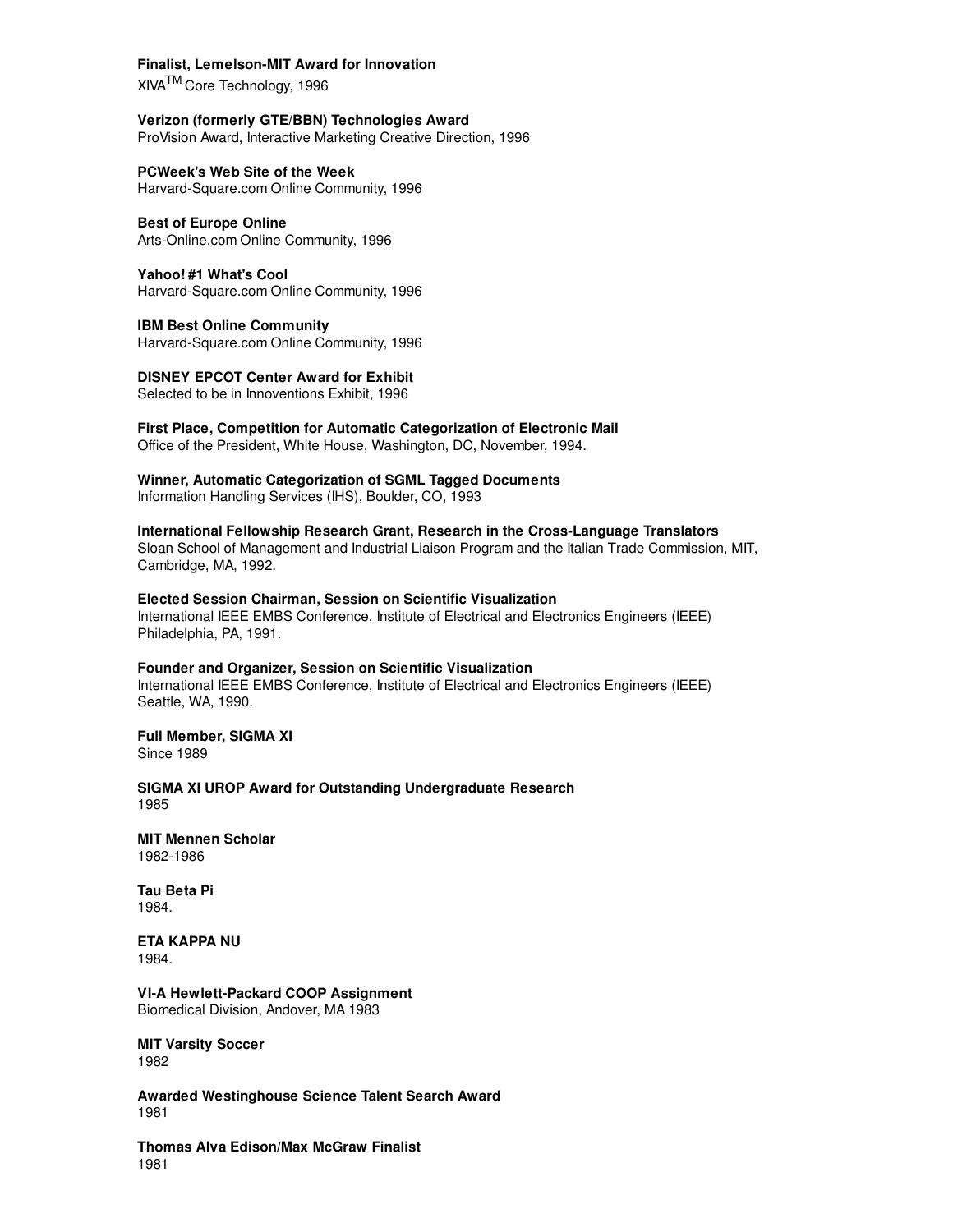#### **Finalist, Lemelson-MIT Award for Innovation**

XIVATM Core Technology, 1996

**Verizon (formerly GTE/BBN) Technologies Award** ProVision Award, Interactive Marketing Creative Direction, 1996

**PCWeek's Web Site of the Week** Harvard-Square.com Online Community, 1996

**Best of Europe Online** Arts-Online.com Online Community, 1996

**Yahoo! #1 What's Cool** Harvard-Square.com Online Community, 1996

**IBM Best Online Community** Harvard-Square.com Online Community, 1996

**DISNEY EPCOT Center Award for Exhibit** Selected to be in Innoventions Exhibit, 1996

**First Place, Competition for Automatic Categorization of Electronic Mail** Office of the President, White House, Washington, DC, November, 1994.

**Winner, Automatic Categorization of SGML Tagged Documents** Information Handling Services (IHS), Boulder, CO, 1993

**International Fellowship Research Grant, Research in the Cross-Language Translators** Sloan School of Management and Industrial Liaison Program and the Italian Trade Commission, MIT, Cambridge, MA, 1992.

**Elected Session Chairman, Session on Scientific Visualization** International IEEE EMBS Conference, Institute of Electrical and Electronics Engineers (IEEE) Philadelphia, PA, 1991.

#### **Founder and Organizer, Session on Scientific Visualization**

International IEEE EMBS Conference, Institute of Electrical and Electronics Engineers (IEEE) Seattle, WA, 1990.

**Full Member, SIGMA XI** Since 1989

**SIGMA XI UROP Award for Outstanding Undergraduate Research** 1985

**MIT Mennen Scholar** 1982-1986

**Tau Beta Pi** 1984.

**ETA KAPPA NU** 1984.

**VI-A Hewlett-Packard COOP Assignment** Biomedical Division, Andover, MA 1983

**MIT Varsity Soccer** 1982

**Awarded Westinghouse Science Talent Search Award** 1981

**Thomas Alva Edison/Max McGraw Finalist** 1981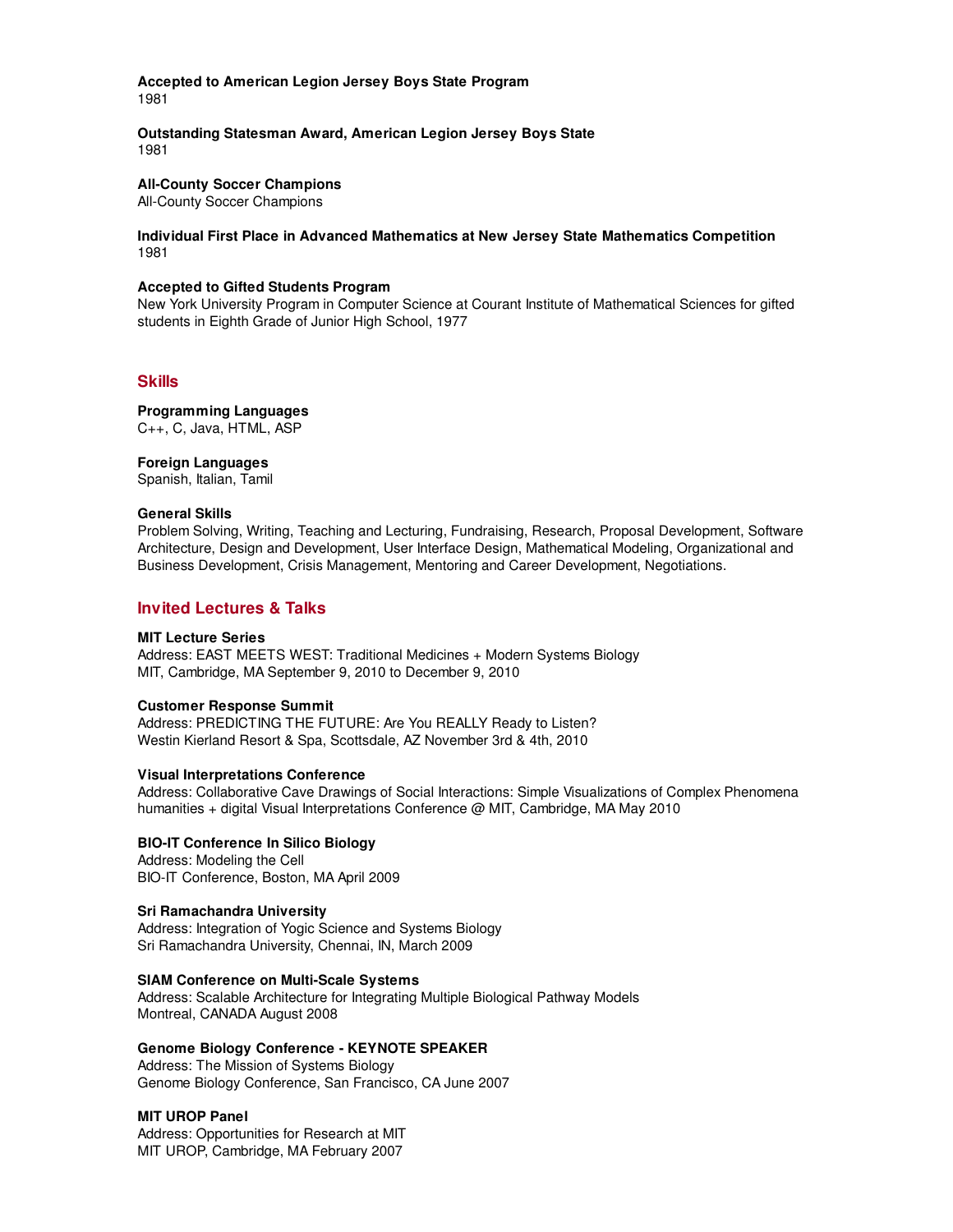**Accepted to American Legion Jersey Boys State Program** 1981

**Outstanding Statesman Award, American Legion Jersey Boys State** 1981

**All-County Soccer Champions**

All-County Soccer Champions

**Individual First Place in Advanced Mathematics at New Jersey State Mathematics Competition** 1981

#### **Accepted to Gifted Students Program**

New York University Program in Computer Science at Courant Institute of Mathematical Sciences for gifted students in Eighth Grade of Junior High School, 1977

#### **Skills**

**Programming Languages** C++, C, Java, HTML, ASP

**Foreign Languages**

Spanish, Italian, Tamil

#### **General Skills**

Problem Solving, Writing, Teaching and Lecturing, Fundraising, Research, Proposal Development, Software Architecture, Design and Development, User Interface Design, Mathematical Modeling, Organizational and Business Development, Crisis Management, Mentoring and Career Development, Negotiations.

# **Invited Lectures & Talks**

#### **MIT Lecture Series**

Address: EAST MEETS WEST: Traditional Medicines + Modern Systems Biology MIT, Cambridge, MA September 9, 2010 to December 9, 2010

#### **Customer Response Summit**

Address: PREDICTING THE FUTURE: Are You REALLY Ready to Listen? Westin Kierland Resort & Spa, Scottsdale, AZ November 3rd & 4th, 2010

#### **Visual Interpretations Conference**

Address: Collaborative Cave Drawings of Social Interactions: Simple Visualizations of Complex Phenomena humanities + digital Visual Interpretations Conference @ MIT, Cambridge, MA May 2010

#### **BIO-IT Conference In Silico Biology**

Address: Modeling the Cell BIO-IT Conference, Boston, MA April 2009

#### **Sri Ramachandra University**

Address: Integration of Yogic Science and Systems Biology Sri Ramachandra University, Chennai, IN, March 2009

#### **SIAM Conference on Multi-Scale Systems**

Address: Scalable Architecture for Integrating Multiple Biological Pathway Models Montreal, CANADA August 2008

#### **Genome Biology Conference - KEYNOTE SPEAKER**

Address: The Mission of Systems Biology Genome Biology Conference, San Francisco, CA June 2007

#### **MIT UROP Panel**

Address: Opportunities for Research at MIT MIT UROP, Cambridge, MA February 2007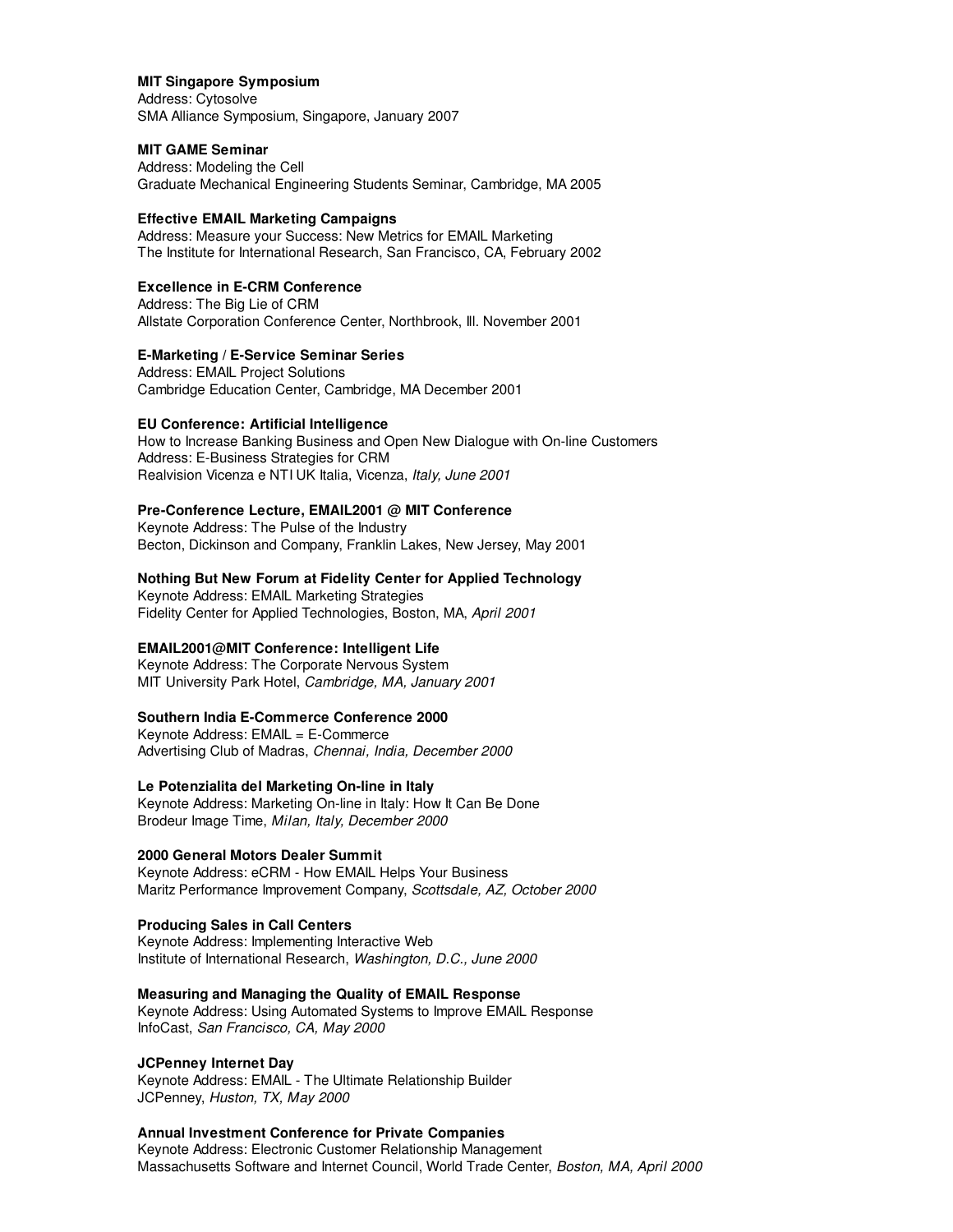#### **MIT Singapore Symposium**

Address: Cytosolve SMA Alliance Symposium, Singapore, January 2007

#### **MIT GAME Seminar**

Address: Modeling the Cell Graduate Mechanical Engineering Students Seminar, Cambridge, MA 2005

#### **Effective EMAIL Marketing Campaigns**

Address: Measure your Success: New Metrics for EMAIL Marketing The Institute for International Research, San Francisco, CA, February 2002

# **Excellence in E-CRM Conference**

Address: The Big Lie of CRM Allstate Corporation Conference Center, Northbrook, Ill. November 2001

#### **E-Marketing / E-Service Seminar Series**

Address: EMAIL Project Solutions Cambridge Education Center, Cambridge, MA December 2001

#### **EU Conference: Artificial Intelligence**

How to Increase Banking Business and Open New Dialogue with On-line Customers Address: E-Business Strategies for CRM Realvision Vicenza e NTI UK Italia, Vicenza, Italy, June 2001

#### **Pre-Conference Lecture, EMAIL2001 @ MIT Conference**

Keynote Address: The Pulse of the Industry Becton, Dickinson and Company, Franklin Lakes, New Jersey, May 2001

#### **Nothing But New Forum at Fidelity Center for Applied Technology**

Keynote Address: EMAIL Marketing Strategies Fidelity Center for Applied Technologies, Boston, MA, April 2001

# **EMAIL2001@MIT Conference: Intelligent Life**

Keynote Address: The Corporate Nervous System MIT University Park Hotel, Cambridge, MA, January 2001

#### **Southern India E-Commerce Conference 2000**

Keynote Address: EMAIL = E-Commerce Advertising Club of Madras, Chennai, India, December 2000

## **Le Potenzialita del Marketing On-line in Italy**

Keynote Address: Marketing On-line in Italy: How It Can Be Done Brodeur Image Time, Milan, Italy, December 2000

#### **2000 General Motors Dealer Summit**

Keynote Address: eCRM - How EMAIL Helps Your Business Maritz Performance Improvement Company, Scottsdale, AZ, October 2000

# **Producing Sales in Call Centers**

Keynote Address: Implementing Interactive Web Institute of International Research, Washington, D.C., June 2000

#### **Measuring and Managing the Quality of EMAIL Response**

Keynote Address: Using Automated Systems to Improve EMAIL Response InfoCast, San Francisco, CA, May 2000

# **JCPenney Internet Day**

Keynote Address: EMAIL - The Ultimate Relationship Builder JCPenney, Huston, TX, May 2000

# **Annual Investment Conference for Private Companies**

Keynote Address: Electronic Customer Relationship Management Massachusetts Software and Internet Council, World Trade Center, Boston, MA, April 2000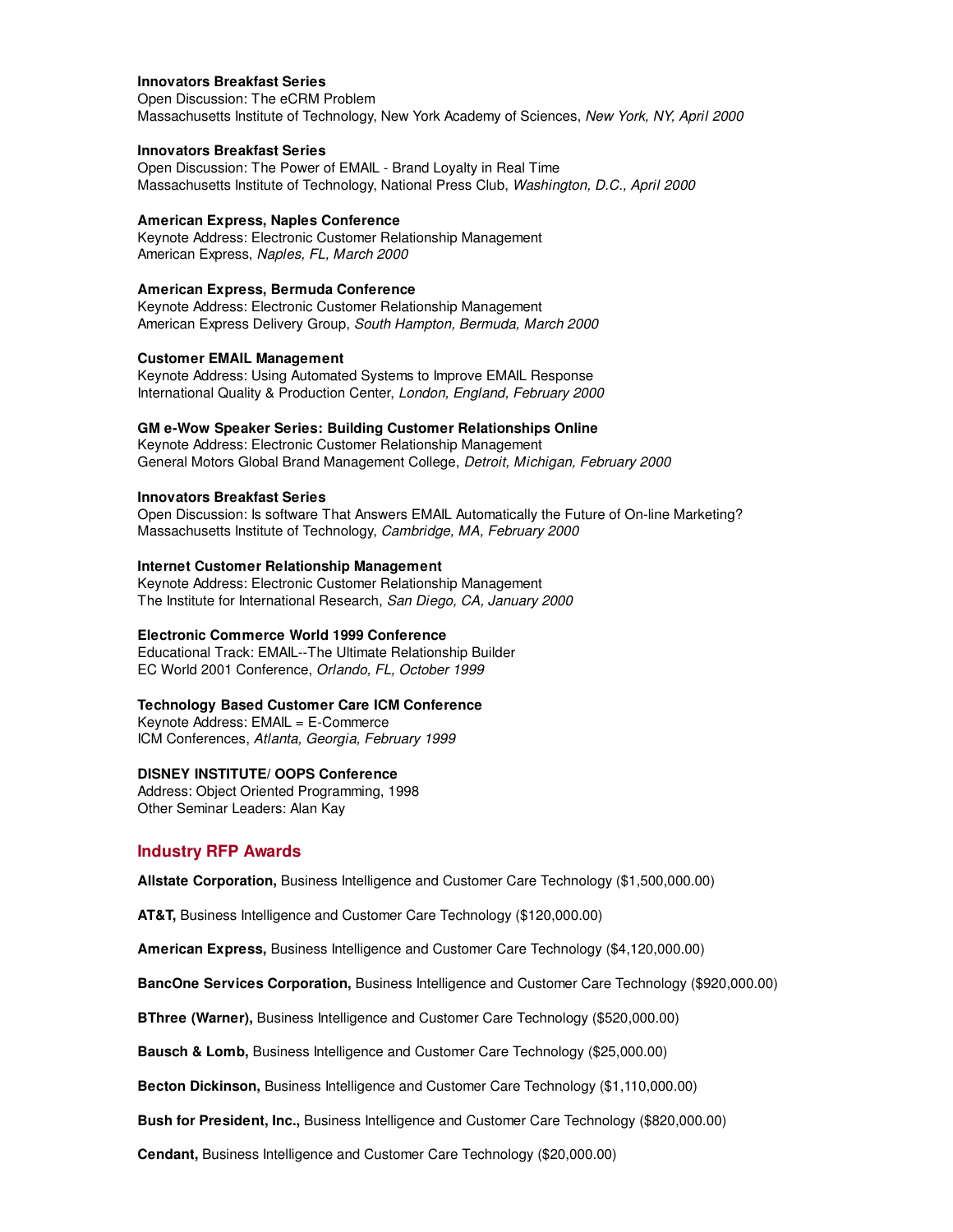#### **Innovators Breakfast Series**

Open Discussion: The eCRM Problem Massachusetts Institute of Technology, New York Academy of Sciences, New York, NY, April 2000

#### **Innovators Breakfast Series**

Open Discussion: The Power of EMAIL - Brand Loyalty in Real Time Massachusetts Institute of Technology, National Press Club, Washington, D.C., April 2000

#### **American Express, Naples Conference**

Keynote Address: Electronic Customer Relationship Management American Express, Naples, FL, March 2000

#### **American Express, Bermuda Conference**

Keynote Address: Electronic Customer Relationship Management American Express Delivery Group, South Hampton, Bermuda, March 2000

#### **Customer EMAIL Management**

Keynote Address: Using Automated Systems to Improve EMAIL Response International Quality & Production Center, London, England, February 2000

#### **GM e-Wow Speaker Series: Building Customer Relationships Online**

Keynote Address: Electronic Customer Relationship Management General Motors Global Brand Management College, Detroit, Michigan, February 2000

#### **Innovators Breakfast Series**

Open Discussion: Is software That Answers EMAIL Automatically the Future of On-line Marketing? Massachusetts Institute of Technology, Cambridge, MA, February 2000

#### **Internet Customer Relationship Management**

Keynote Address: Electronic Customer Relationship Management The Institute for International Research, San Diego, CA, January 2000

#### **Electronic Commerce World 1999 Conference**

Educational Track: EMAIL--The Ultimate Relationship Builder EC World 2001 Conference, Orlando, FL, October 1999

#### **Technology Based Customer Care ICM Conference**

Keynote Address: EMAIL = E-Commerce ICM Conferences, Atlanta, Georgia, February 1999

#### **DISNEY INSTITUTE/ OOPS Conference**

Address: Object Oriented Programming, 1998 Other Seminar Leaders: Alan Kay

#### **Industry RFP Awards**

**Allstate Corporation,** Business Intelligence and Customer Care Technology (\$1,500,000.00)

**AT&T,** Business Intelligence and Customer Care Technology (\$120,000.00)

**American Express,** Business Intelligence and Customer Care Technology (\$4,120,000.00)

**BancOne Services Corporation,** Business Intelligence and Customer Care Technology (\$920,000.00)

**BThree (Warner),** Business Intelligence and Customer Care Technology (\$520,000.00)

**Bausch & Lomb,** Business Intelligence and Customer Care Technology (\$25,000.00)

**Becton Dickinson,** Business Intelligence and Customer Care Technology (\$1,110,000.00)

**Bush for President, Inc.,** Business Intelligence and Customer Care Technology (\$820,000.00)

**Cendant,** Business Intelligence and Customer Care Technology (\$20,000.00)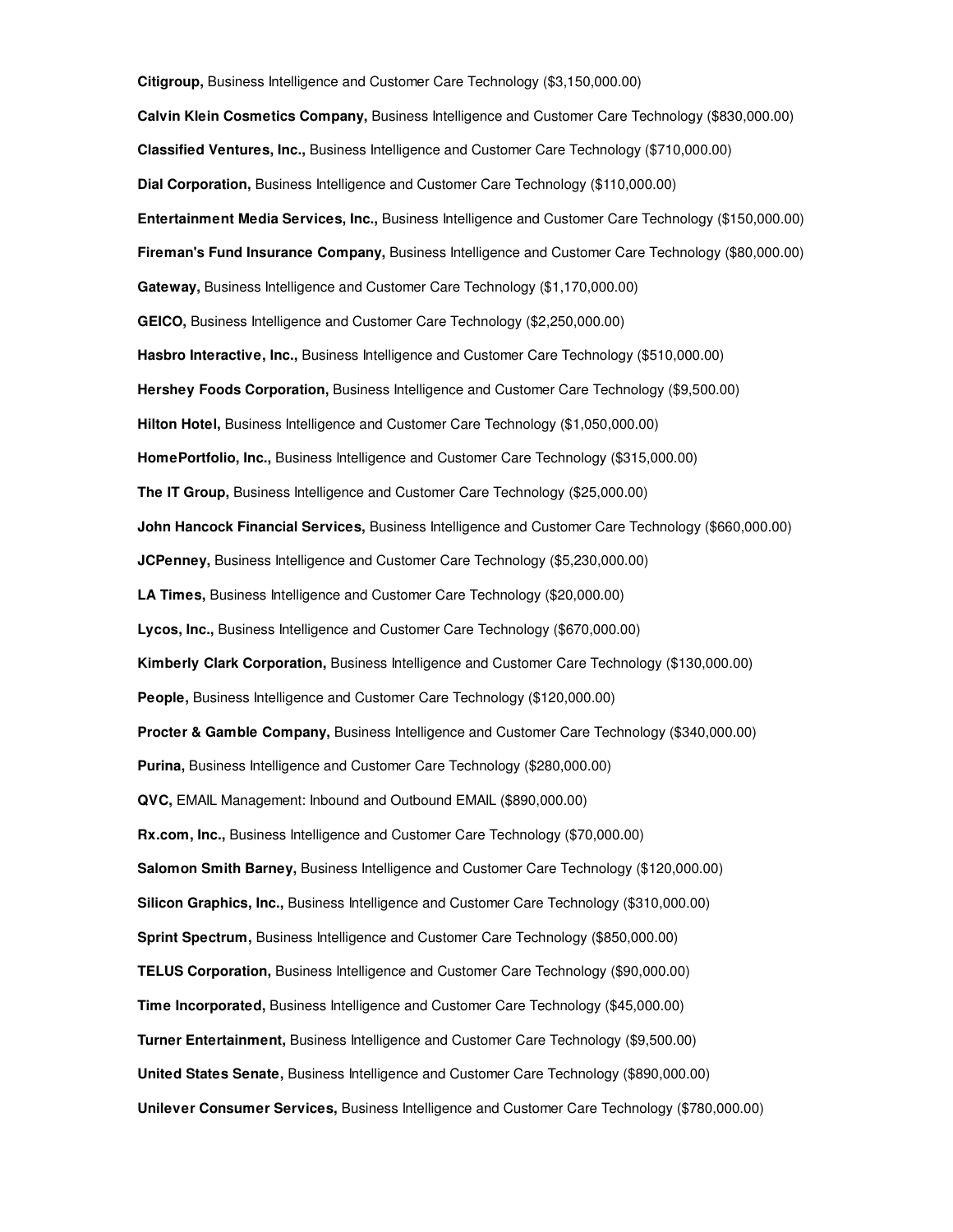**Citigroup,** Business Intelligence and Customer Care Technology (\$3,150,000.00) **Calvin Klein Cosmetics Company,** Business Intelligence and Customer Care Technology (\$830,000.00) **Classified Ventures, Inc.,** Business Intelligence and Customer Care Technology (\$710,000.00) **Dial Corporation,** Business Intelligence and Customer Care Technology (\$110,000.00) **Entertainment Media Services, Inc.,** Business Intelligence and Customer Care Technology (\$150,000.00) **Fireman's Fund Insurance Company,** Business Intelligence and Customer Care Technology (\$80,000.00) **Gateway,** Business Intelligence and Customer Care Technology (\$1,170,000.00) **GEICO,** Business Intelligence and Customer Care Technology (\$2,250,000.00) **Hasbro Interactive, Inc.,** Business Intelligence and Customer Care Technology (\$510,000.00) **Hershey Foods Corporation,** Business Intelligence and Customer Care Technology (\$9,500.00) **Hilton Hotel,** Business Intelligence and Customer Care Technology (\$1,050,000.00) **HomePortfolio, Inc.,** Business Intelligence and Customer Care Technology (\$315,000.00) **The IT Group,** Business Intelligence and Customer Care Technology (\$25,000.00) **John Hancock Financial Services,** Business Intelligence and Customer Care Technology (\$660,000.00) **JCPenney,** Business Intelligence and Customer Care Technology (\$5,230,000.00) **LA Times,** Business Intelligence and Customer Care Technology (\$20,000.00) **Lycos, Inc.,** Business Intelligence and Customer Care Technology (\$670,000.00) **Kimberly Clark Corporation,** Business Intelligence and Customer Care Technology (\$130,000.00) **People,** Business Intelligence and Customer Care Technology (\$120,000.00) **Procter & Gamble Company,** Business Intelligence and Customer Care Technology (\$340,000.00) **Purina,** Business Intelligence and Customer Care Technology (\$280,000.00) **QVC,** EMAIL Management: Inbound and Outbound EMAIL (\$890,000.00) **Rx.com, Inc.,** Business Intelligence and Customer Care Technology (\$70,000.00) **Salomon Smith Barney,** Business Intelligence and Customer Care Technology (\$120,000.00) **Silicon Graphics, Inc.,** Business Intelligence and Customer Care Technology (\$310,000.00) **Sprint Spectrum,** Business Intelligence and Customer Care Technology (\$850,000.00) **TELUS Corporation,** Business Intelligence and Customer Care Technology (\$90,000.00) **Time Incorporated,** Business Intelligence and Customer Care Technology (\$45,000.00) **Turner Entertainment,** Business Intelligence and Customer Care Technology (\$9,500.00) **United States Senate,** Business Intelligence and Customer Care Technology (\$890,000.00) **Unilever Consumer Services,** Business Intelligence and Customer Care Technology (\$780,000.00)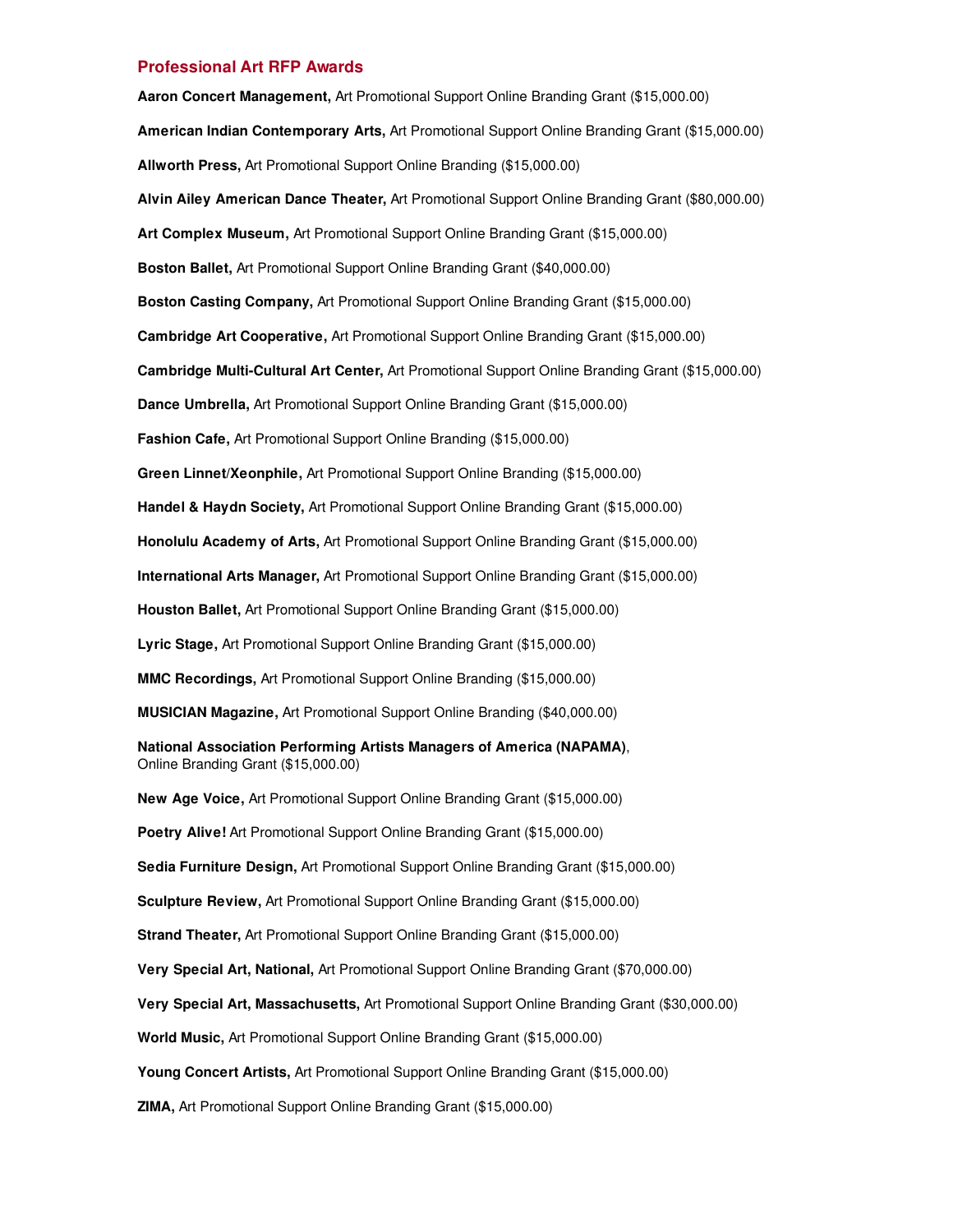#### **Professional Art RFP Awards**

**Aaron Concert Management,** Art Promotional Support Online Branding Grant (\$15,000.00) **American Indian Contemporary Arts,** Art Promotional Support Online Branding Grant (\$15,000.00) **Allworth Press,** Art Promotional Support Online Branding (\$15,000.00) **Alvin Ailey American Dance Theater,** Art Promotional Support Online Branding Grant (\$80,000.00) **Art Complex Museum,** Art Promotional Support Online Branding Grant (\$15,000.00) **Boston Ballet,** Art Promotional Support Online Branding Grant (\$40,000.00) **Boston Casting Company,** Art Promotional Support Online Branding Grant (\$15,000.00) **Cambridge Art Cooperative,** Art Promotional Support Online Branding Grant (\$15,000.00) **Cambridge Multi-Cultural Art Center,** Art Promotional Support Online Branding Grant (\$15,000.00) **Dance Umbrella,** Art Promotional Support Online Branding Grant (\$15,000.00) **Fashion Cafe,** Art Promotional Support Online Branding (\$15,000.00) **Green Linnet/Xeonphile,** Art Promotional Support Online Branding (\$15,000.00) **Handel & Haydn Society,** Art Promotional Support Online Branding Grant (\$15,000.00) **Honolulu Academy of Arts,** Art Promotional Support Online Branding Grant (\$15,000.00) **International Arts Manager,** Art Promotional Support Online Branding Grant (\$15,000.00) **Houston Ballet,** Art Promotional Support Online Branding Grant (\$15,000.00) **Lyric Stage,** Art Promotional Support Online Branding Grant (\$15,000.00) **MMC Recordings,** Art Promotional Support Online Branding (\$15,000.00) **MUSICIAN Magazine,** Art Promotional Support Online Branding (\$40,000.00) **National Association Performing Artists Managers of America (NAPAMA)**, Online Branding Grant (\$15,000.00) **New Age Voice,** Art Promotional Support Online Branding Grant (\$15,000.00) **Poetry Alive!** Art Promotional Support Online Branding Grant (\$15,000.00) **Sedia Furniture Design,** Art Promotional Support Online Branding Grant (\$15,000.00) **Sculpture Review,** Art Promotional Support Online Branding Grant (\$15,000.00) **Strand Theater,** Art Promotional Support Online Branding Grant (\$15,000.00) **Very Special Art, National,** Art Promotional Support Online Branding Grant (\$70,000.00) **Very Special Art, Massachusetts,** Art Promotional Support Online Branding Grant (\$30,000.00) **World Music,** Art Promotional Support Online Branding Grant (\$15,000.00) **Young Concert Artists,** Art Promotional Support Online Branding Grant (\$15,000.00)

**ZIMA,** Art Promotional Support Online Branding Grant (\$15,000.00)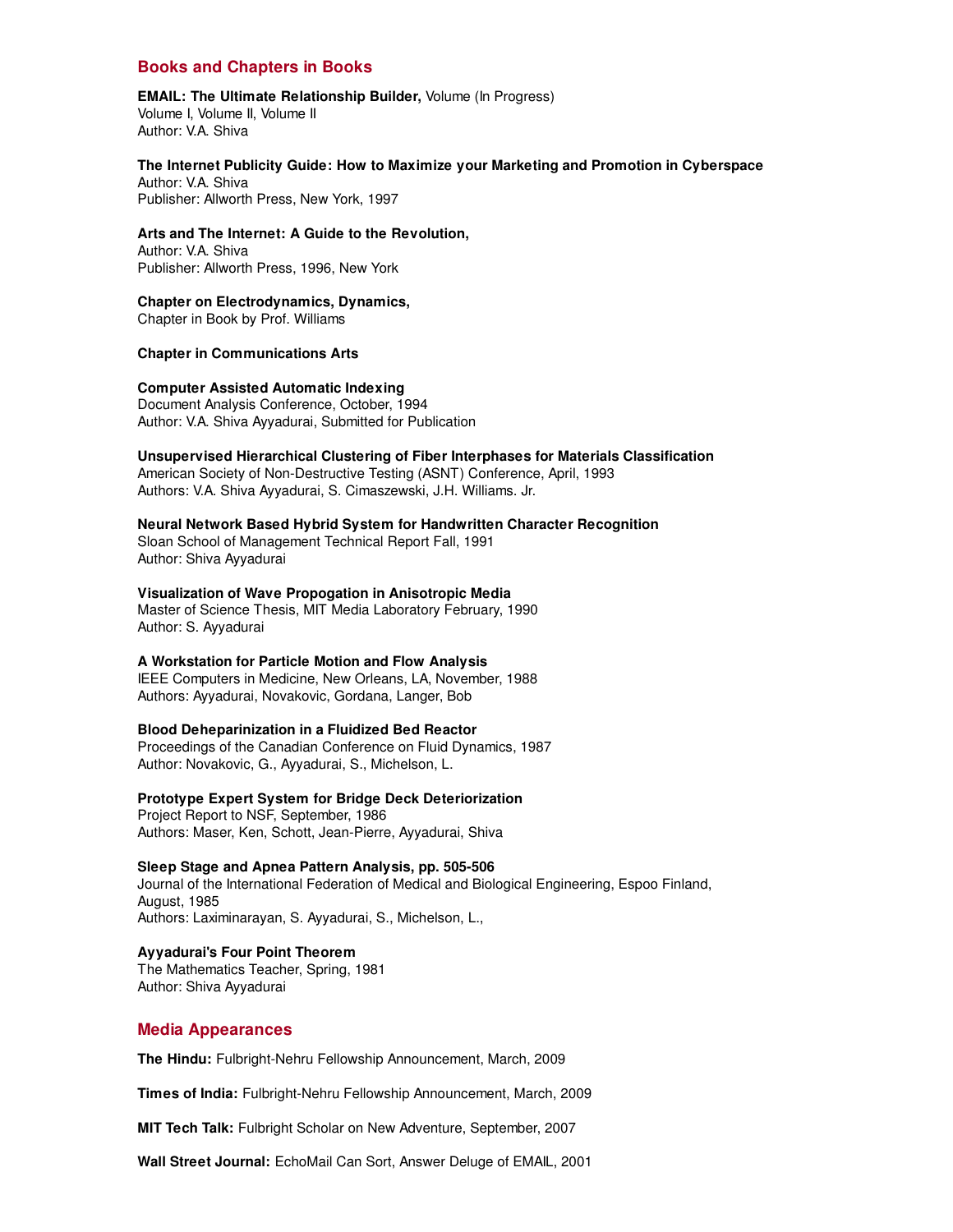# **Books and Chapters in Books**

#### **EMAIL: The Ultimate Relationship Builder,** Volume (In Progress) Volume I, Volume II, Volume II Author: V.A. Shiva

**The Internet Publicity Guide: How to Maximize your Marketing and Promotion in Cyberspace** Author: V.A. Shiva Publisher: Allworth Press, New York, 1997

**Arts and The Internet: A Guide to the Revolution,** Author: V.A. Shiva

Publisher: Allworth Press, 1996, New York

#### **Chapter on Electrodynamics, Dynamics,**

Chapter in Book by Prof. Williams

**Chapter in Communications Arts**

#### **Computer Assisted Automatic Indexing**

Document Analysis Conference, October, 1994 Author: V.A. Shiva Ayyadurai, Submitted for Publication

#### **Unsupervised Hierarchical Clustering of Fiber Interphases for Materials Classification**

American Society of Non-Destructive Testing (ASNT) Conference, April, 1993 Authors: V.A. Shiva Ayyadurai, S. Cimaszewski, J.H. Williams. Jr.

#### **Neural Network Based Hybrid System for Handwritten Character Recognition**

Sloan School of Management Technical Report Fall, 1991 Author: Shiva Ayyadurai

#### **Visualization of Wave Propogation in Anisotropic Media**

Master of Science Thesis, MIT Media Laboratory February, 1990 Author: S. Ayyadurai

#### **A Workstation for Particle Motion and Flow Analysis**

IEEE Computers in Medicine, New Orleans, LA, November, 1988 Authors: Ayyadurai, Novakovic, Gordana, Langer, Bob

#### **Blood Deheparinization in a Fluidized Bed Reactor**

Proceedings of the Canadian Conference on Fluid Dynamics, 1987 Author: Novakovic, G., Ayyadurai, S., Michelson, L.

# **Prototype Expert System for Bridge Deck Deteriorization**

Project Report to NSF, September, 1986 Authors: Maser, Ken, Schott, Jean-Pierre, Ayyadurai, Shiva

#### **Sleep Stage and Apnea Pattern Analysis, pp. 505-506**

Journal of the International Federation of Medical and Biological Engineering, Espoo Finland, August, 1985 Authors: Laximinarayan, S. Ayyadurai, S., Michelson, L.,

# **Ayyadurai's Four Point Theorem**

The Mathematics Teacher, Spring, 1981 Author: Shiva Ayyadurai

#### **Media Appearances**

**The Hindu:** Fulbright-Nehru Fellowship Announcement, March, 2009

**Times of India:** Fulbright-Nehru Fellowship Announcement, March, 2009

**MIT Tech Talk:** Fulbright Scholar on New Adventure, September, 2007

**Wall Street Journal:** EchoMail Can Sort, Answer Deluge of EMAIL, 2001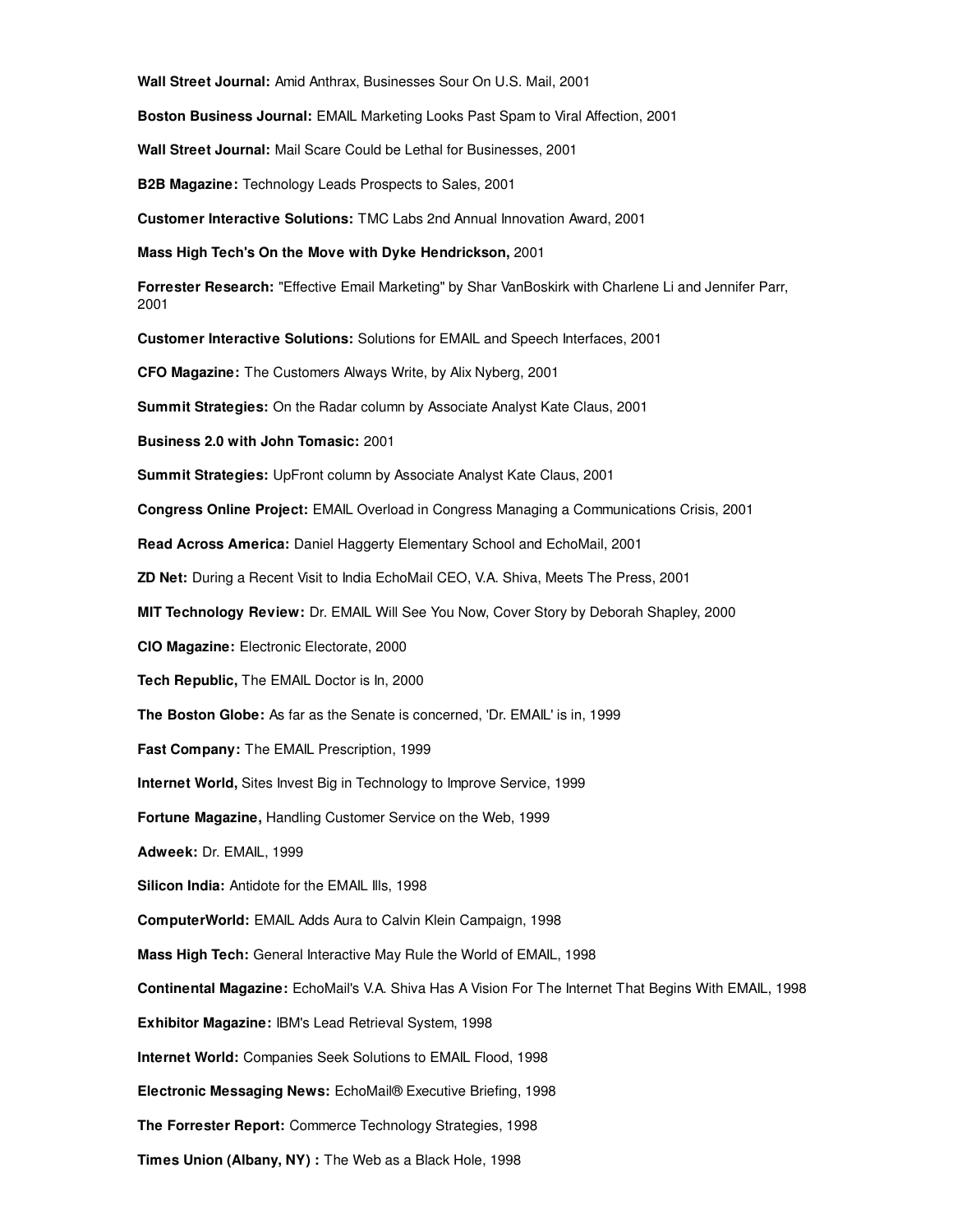**Wall Street Journal:** Amid Anthrax, Businesses Sour On U.S. Mail, 2001

**Boston Business Journal:** EMAIL Marketing Looks Past Spam to Viral Affection, 2001

**Wall Street Journal:** Mail Scare Could be Lethal for Businesses, 2001

**B2B Magazine:** Technology Leads Prospects to Sales, 2001

**Customer Interactive Solutions:** TMC Labs 2nd Annual Innovation Award, 2001

**Mass High Tech's On the Move with Dyke Hendrickson,** 2001

**Forrester Research:** "Effective Email Marketing" by Shar VanBoskirk with Charlene Li and Jennifer Parr, 2001

**Customer Interactive Solutions:** Solutions for EMAIL and Speech Interfaces, 2001

**CFO Magazine:** The Customers Always Write, by Alix Nyberg, 2001

**Summit Strategies:** On the Radar column by Associate Analyst Kate Claus, 2001

**Business 2.0 with John Tomasic:** 2001

**Summit Strategies:** UpFront column by Associate Analyst Kate Claus, 2001

**Congress Online Project:** EMAIL Overload in Congress Managing a Communications Crisis, 2001

**Read Across America:** Daniel Haggerty Elementary School and EchoMail, 2001

**ZD Net:** During a Recent Visit to India EchoMail CEO, V.A. Shiva, Meets The Press, 2001

**MIT Technology Review:** Dr. EMAIL Will See You Now, Cover Story by Deborah Shapley, 2000

**CIO Magazine:** Electronic Electorate, 2000

**Tech Republic,** The EMAIL Doctor is In, 2000

**The Boston Globe:** As far as the Senate is concerned, 'Dr. EMAIL' is in, 1999

**Fast Company:** The EMAIL Prescription, 1999

**Internet World,** Sites Invest Big in Technology to Improve Service, 1999

**Fortune Magazine,** Handling Customer Service on the Web, 1999

**Adweek:** Dr. EMAIL, 1999

**Silicon India:** Antidote for the EMAIL Ills, 1998

**ComputerWorld:** EMAIL Adds Aura to Calvin Klein Campaign, 1998

**Mass High Tech:** General Interactive May Rule the World of EMAIL, 1998

**Continental Magazine:** EchoMail's V.A. Shiva Has A Vision For The Internet That Begins With EMAIL, 1998

**Exhibitor Magazine:** IBM's Lead Retrieval System, 1998

**Internet World:** Companies Seek Solutions to EMAIL Flood, 1998

**Electronic Messaging News:** EchoMail® Executive Briefing, 1998

**The Forrester Report:** Commerce Technology Strategies, 1998

**Times Union (Albany, NY) :** The Web as a Black Hole, 1998